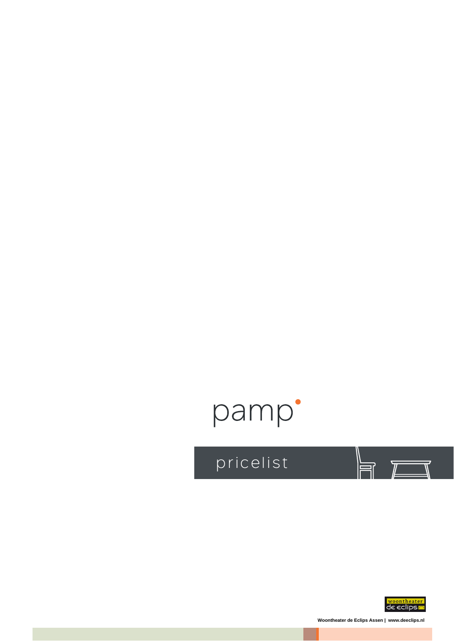## pamp'

pricelist



 $\overline{\mathbb{Z}}$ 

Woontheater de Eclips Assen | www.deeclips.nl

 $\equiv$